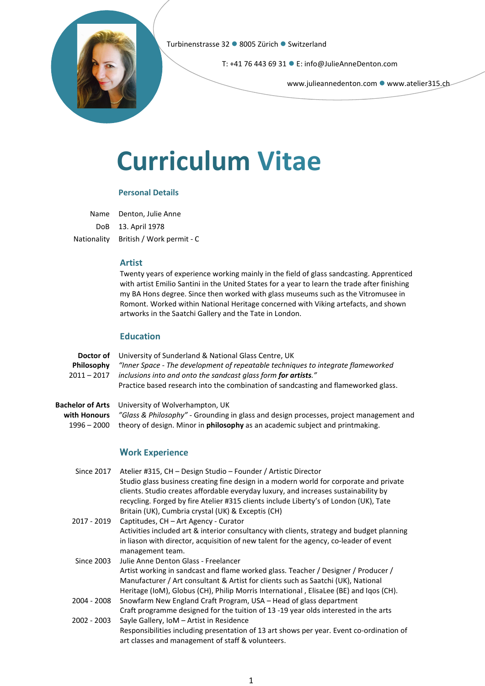

T: +41 76 443 69 31 E: info@JulieAnneDenton.com

www.julieannedenton.com • www.atelier315.ch

# Curriculum Vitae

## Personal Details

Name Denton, Julie Anne DoB 13. April 1978 Nationality British / Work permit - C

## Artist

Twenty years of experience working mainly in the field of glass sandcasting. Apprenticed with artist Emilio Santini in the United States for a year to learn the trade after finishing my BA Hons degree. Since then worked with glass museums such as the Vitromusee in Romont. Worked within National Heritage concerned with Viking artefacts, and shown artworks in the Saatchi Gallery and the Tate in London.

## **Education**

| Doctor of<br>Philosophy<br>$2011 - 2017$                 | University of Sunderland & National Glass Centre, UK<br>"Inner Space - The development of repeatable techniques to integrate flameworked<br>inclusions into and onto the sandcast glass form for artists."<br>Practice based research into the combination of sandcasting and flameworked glass.                                                                                               |
|----------------------------------------------------------|------------------------------------------------------------------------------------------------------------------------------------------------------------------------------------------------------------------------------------------------------------------------------------------------------------------------------------------------------------------------------------------------|
| <b>Bachelor of Arts</b><br>with Honours<br>$1996 - 2000$ | University of Wolverhampton, UK<br>"Glass & Philosophy" - Grounding in glass and design processes, project management and<br>theory of design. Minor in philosophy as an academic subject and printmaking.                                                                                                                                                                                     |
|                                                          | <b>Work Experience</b>                                                                                                                                                                                                                                                                                                                                                                         |
| <b>Since 2017</b>                                        | Atelier #315, CH - Design Studio - Founder / Artistic Director<br>Studio glass business creating fine design in a modern world for corporate and private<br>clients. Studio creates affordable everyday luxury, and increases sustainability by<br>recycling. Forged by fire Atelier #315 clients include Liberty's of London (UK), Tate<br>Britain (UK), Cumbria crystal (UK) & Exceptis (CH) |
| 2017 - 2019                                              | Captitudes, CH - Art Agency - Curator<br>Activities included art & interior consultancy with clients, strategy and budget planning<br>in liason with director, acquisition of new talent for the agency, co-leader of event<br>management team.                                                                                                                                                |
| <b>Since 2003</b>                                        | Julie Anne Denton Glass - Freelancer<br>Artist working in sandcast and flame worked glass. Teacher / Designer / Producer /<br>Manufacturer / Art consultant & Artist for clients such as Saatchi (UK), National<br>Heritage (IoM), Globus (CH), Philip Morris International, ElisaLee (BE) and Iqos (CH).                                                                                      |
| 2004 - 2008                                              | Snowfarm New England Craft Program, USA – Head of glass department<br>Craft programme designed for the tuition of 13 -19 year olds interested in the arts                                                                                                                                                                                                                                      |
| 2002 - 2003                                              | Sayle Gallery, IoM - Artist in Residence<br>Responsibilities including presentation of 13 art shows per year. Event co-ordination of<br>art classes and management of staff & volunteers.                                                                                                                                                                                                      |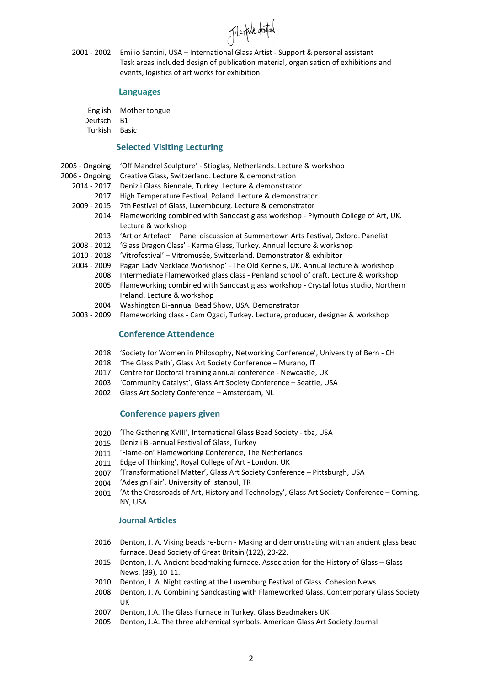Julie Ande dental

2001 - 2002 Emilio Santini, USA – International Glass Artist - Support & personal assistant Task areas included design of publication material, organisation of exhibitions and events, logistics of art works for exhibition.

#### Languages

English Mother tongue Deutsch B1

Turkish Basic

## Selected Visiting Lecturing

- 2005 Ongoing 'Off Mandrel Sculpture' - Stipglas, Netherlands. Lecture & workshop
- 2006 Ongoing Creative Glass, Switzerland. Lecture & demonstration
	- 2014 2017 Denizli Glass Biennale, Turkey. Lecture & demonstrator
		- 2017 High Temperature Festival, Poland. Lecture & demonstrator
	- 2009 2015 7th Festival of Glass, Luxembourg. Lecture & demonstrator
		- 2014 Flameworking combined with Sandcast glass workshop Plymouth College of Art, UK. Lecture & workshop
		- 2013 'Art or Artefact' Panel discussion at Summertown Arts Festival, Oxford. Panelist
	- 2008 2012 'Glass Dragon Class' Karma Glass, Turkey. Annual lecture & workshop
	- 2010 2018 'Vitrofestival' Vitromusée, Switzerland. Demonstrator & exhibitor
	- 2004 2009 Pagan Lady Necklace Workshop' The Old Kennels, UK. Annual lecture & workshop
		- 2008 Intermediate Flameworked glass class Penland school of craft. Lecture & workshop
			- 2005 Flameworking combined with Sandcast glass workshop Crystal lotus studio, Northern Ireland. Lecture & workshop
			- 2004 Washington Bi-annual Bead Show, USA. Demonstrator
	- 2003 2009 Flameworking class Cam Ogaci, Turkey. Lecture, producer, designer & workshop

# Conference Attendence

- 2018 'Society for Women in Philosophy, Networking Conference', University of Bern CH
- 2018 'The Glass Path', Glass Art Society Conference Murano, IT
- 2017 Centre for Doctoral training annual conference Newcastle, UK
- 2003 'Community Catalyst', Glass Art Society Conference Seattle, USA
- 2002 Glass Art Society Conference Amsterdam, NL

### Conference papers given

- 2020 'The Gathering XVIII', International Glass Bead Society - tba, USA
- 2015 Denizli Bi-annual Festival of Glass, Turkey
- 2011 'Flame-on' Flameworking Conference, The Netherlands
- 2011 Edge of Thinking', Royal College of Art London, UK
- 2007 'Transformational Matter', Glass Art Society Conference – Pittsburgh, USA
- 2004 'Adesign Fair', University of Istanbul, TR
- 2001 'At the Crossroads of Art, History and Technology', Glass Art Society Conference – Corning, NY, USA

### Journal Articles

- 2016 Denton, J. A. Viking beads re-born Making and demonstrating with an ancient glass bead furnace. Bead Society of Great Britain (122), 20-22.
- 2015 Denton, J. A. Ancient beadmaking furnace. Association for the History of Glass Glass News. (39), 10-11.
- 2010 Denton, J. A. Night casting at the Luxemburg Festival of Glass. Cohesion News.
- 2008 Denton, J. A. Combining Sandcasting with Flameworked Glass. Contemporary Glass Society UK
- 2007 Denton, J.A. The Glass Furnace in Turkey. Glass Beadmakers UK
- 2005 Denton, J.A. The three alchemical symbols. American Glass Art Society Journal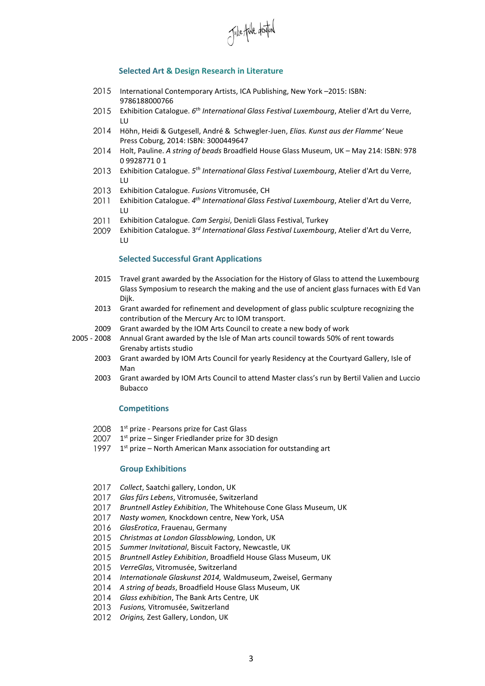

### Selected Art & Design Research in Literature

- 2015 International Contemporary Artists, ICA Publishing, New York –2015: ISBN: 9786188000766
- 2015 Exhibition Catalogue. 6<sup>th</sup> International Glass Festival Luxembourg, Atelier d'Art du Verre, LU
- 2014 Höhn, Heidi & Gutgesell, André & Schwegler-Juen, Elias. Kunst aus der Flamme' Neue Press Coburg, 2014: ISBN: 3000449647
- 2014 Holt, Pauline. A string of beads Broadfield House Glass Museum, UK May 214: ISBN: 978 0 9928771 0 1
- 2013 Exhibition Catalogue. 5<sup>th</sup> International Glass Festival Luxembourg, Atelier d'Art du Verre, LU
- 2013 Exhibition Catalogue. Fusions Vitromusée, CH
- 2011 Exhibition Catalogue. 4<sup>th</sup> International Glass Festival Luxembourg, Atelier d'Art du Verre, LU
- 2011 Exhibition Catalogue. Cam Sergisi, Denizli Glass Festival, Turkey
- 2009 Exhibition Catalogue. 3<sup>rd</sup> International Glass Festival Luxembourg, Atelier d'Art du Verre, LU

#### Selected Successful Grant Applications

- 2015 Travel grant awarded by the Association for the History of Glass to attend the Luxembourg Glass Symposium to research the making and the use of ancient glass furnaces with Ed Van Dijk.
- 2013 Grant awarded for refinement and development of glass public sculpture recognizing the contribution of the Mercury Arc to IOM transport.
- 2009 Grant awarded by the IOM Arts Council to create a new body of work
- 2005 2008 Annual Grant awarded by the Isle of Man arts council towards 50% of rent towards Grenaby artists studio
	- 2003 Grant awarded by IOM Arts Council for yearly Residency at the Courtyard Gallery, Isle of Man
	- 2003 Grant awarded by IOM Arts Council to attend Master class's run by Bertil Valien and Luccio Bubacco

#### **Competitions**

- 2008 1<sup>st</sup> prize Pearsons prize for Cast Glass
- 2007 1<sup>st</sup> prize – Singer Friedlander prize for 3D design
- 1997 1<sup>st</sup> prize North American Manx association for outstanding art

#### Group Exhibitions

- 2017 Collect, Saatchi gallery, London, UK
- 2017 Glas fűrs Lebens, Vitromusée, Switzerland
- 2017 Bruntnell Astley Exhibition, The Whitehouse Cone Glass Museum, UK
- 2017 Nasty women, Knockdown centre, New York, USA
- 2016 GlasErotica, Frauenau, Germany
- 2015 Christmas at London Glassblowing, London, UK
- 2015 Summer Invitational, Biscuit Factory, Newcastle, UK
- 2015 Bruntnell Astley Exhibition, Broadfield House Glass Museum, UK
- 2015 VerreGlas, Vitromusée, Switzerland
- 2014 Internationale Glaskunst 2014, Waldmuseum, Zweisel, Germany
- 2014 A string of beads, Broadfield House Glass Museum, UK
- 2014 Glass exhibition, The Bank Arts Centre, UK
- 2013 Fusions, Vitromusée, Switzerland
- 2012 Origins, Zest Gallery, London, UK